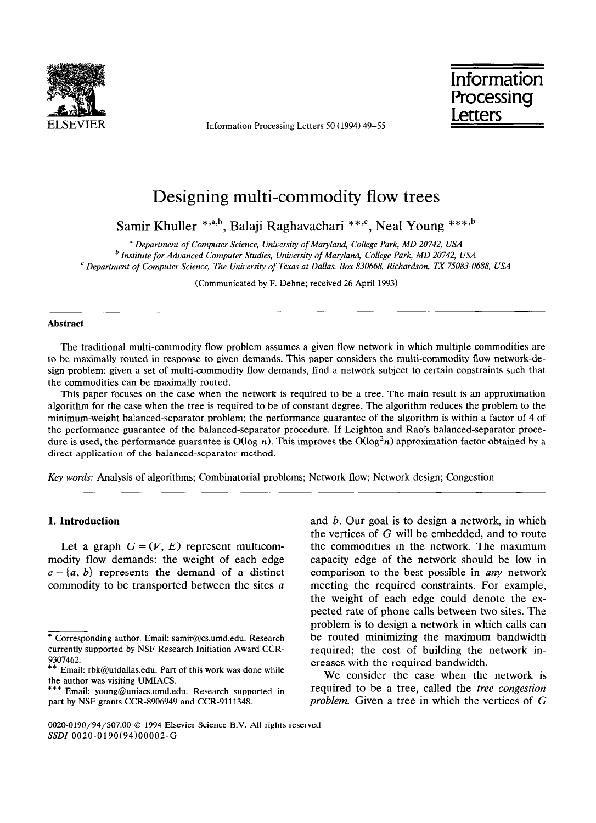

ELSEVIER Information Processing Letters 50 (1994) 49–55

Information **Processing** Letters

# Designing multi-commodity flow trees

Samir Khuller \*,a,b, Balaji Raghavachari \*\*,<sup>c</sup>, Neal Young \*\*\*,b

*a Department of Computer Science, University of Maryland, College Park, MD 20742, USA b Institute for Advanced Computer Studies, University of Maryland, College Park, MD 20742, USA ' Department of Computer Science, The University of Texas at Dallas, Box 830668, Richardson, TX 75083-0688, USA* 

(Communicated by F. Dehne; received 26 April 1993)

#### **Abstract**

The traditional multi-commodity flow problem assumes a given flow network in which multiple commodities are to be maximally routed in response to given demands. This paper considers the multi-commodity flow network-design problem: given a set of multi-commodity flow demands, find a network subject to certain constraints such that the commodities can be maximally routed.

This paper focuses on the case when the network is required to be a tree. The main result is an approximation algorithm for the case when the tree is required to be of constant degree. The algorithm reduces the problem to the minimum-weight balanced-separator problem; the performance guarantee of the algorithm is within a factor of 4 of the performance guarantee of the balanced-separator procedure. If Leighton and Rao's balanced-separator procedure is used, the performance guarantee is O(log n). This improves the O(log<sup>2</sup>n) approximation factor obtained by a direct application of the balanced-separator method.

*Key words:* Analysis of algorithms; Combinatorial problems; Network flow; Network design; Congestion

#### **1. Introduction**

Let a graph  $G = (V, E)$  represent multicommodity flow demands: the weight of each edge  $e = \{a, b\}$  represents the demand of a distinct commodity to be transported between the sites a and b. Our goal is to design a network, in which the vertices of G will be embedded, and to route the commodities in the network. The maximum capacity edge of the network should be low in comparison to the best possible in any network meeting the required constraints. For example, the weight of each edge could denote the expected rate of phone calls between two sites. The problem is to design a network in which calls can be routed minimizing the maximum bandwidth required; the cost of building the network increases with the required bandwidth.

We consider the case when the network is required to be a tree, called the *free congestion problem.* Given a tree in which the vertices of G

<sup>\*</sup> Corresponding author. Email: samir@cs.umd.edu. Research currently supported by NSF Research Initiation Award CCR-*9307462.* 

*<sup>\*\*</sup>* Email: rbk@utdallas.edu. Part of this work was done while the author was visiting UMIACS.

<sup>\*\*\*</sup> Email: young@uniacs.umd.edu. Research supported in part by NSF grants CCR-8906949 and CCR-9111348.

<sup>0020-0190/94/\$07.00 0 1994</sup> Elsevier Science B.V. All rights reserved *SSDZ* 0020-0190(94)00002-G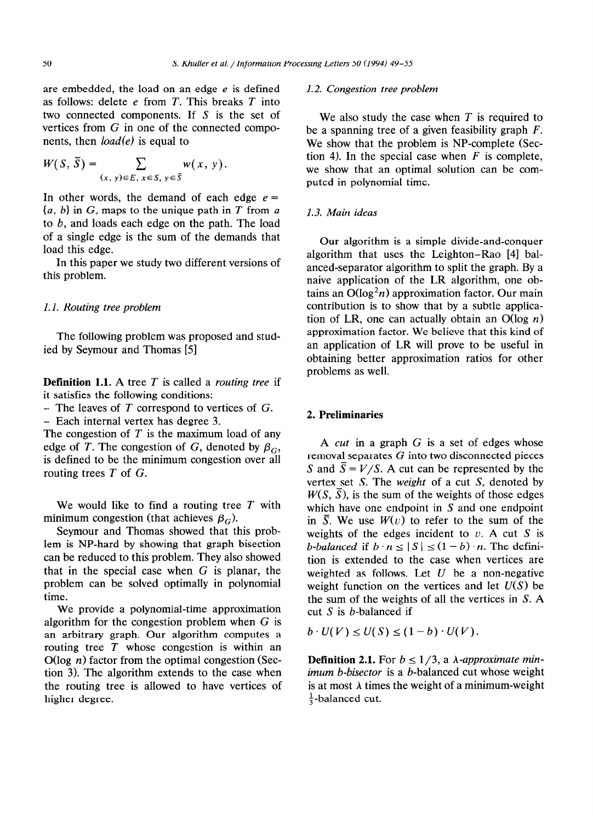are embedded, the load on an edge  $e$  is defined as follows: delete e from *T.* This breaks *T* into two connected components. If S is the set of vertices from G in one of the connected components, then *load(e)* is equal to

$$
W(S, \overline{S}) = \sum_{(x, y) \in E, x \in S, y \in \overline{S}} w(x, y).
$$

In other words, the demand of each edge  $e =$ *{a, b}* in G, maps to the unique path in *T* from *a*  to  $b$ , and loads each edge on the path. The load of a single edge is the sum of the demands that load this edge.

In this paper we study two different versions of this problem.

#### *1.1. Routing tree problem*

The following problem was proposed and studied by Seymour and Thomas [5]

**Definition 1.1.** A tree *T* is called a *routing tree* if it satisfies the following conditions:

- The leaves of *T* correspond to vertices of G.

- Each internal vertex has degree 3.

The congestion of *T* is the maximum load of any edge of *T*. The congestion of *G*, denoted by  $\beta_G$ , is defined to be the minimum congestion over all routing trees *T* of G.

We would like to find a routing tree *T* with minimum congestion (that achieves  $\beta_G$ ).

Seymour and Thomas showed that this problem is NP-hard by showing that graph bisection can be reduced to this problem. They also showed that in the special case when  $G$  is planar, the problem can be solved optimally in polynomial time.

We provide a polynomial-time approximation algorithm for the congestion problem when  $G$  is an arbitrary graph. Our algorithm computes a routing tree *T* whose congestion is within an  $O(\log n)$  factor from the optimal congestion (Section 3). The algorithm extends to the case when the routing tree is allowed to have vertices of higher degree.

#### *1.2. Congestion tree problem*

We also study the case when *T* is required to be a spanning tree of a given feasibility graph *F.*  We show that the problem is NP-complete (Section 4). In the special case when  $F$  is complete, we show that an optimal solution can be computed in polynomial time.

#### 1.3. *Main ideas*

Our algorithm is a simple divide-and-conquer algorithm that uses the Leighton-Rao [4] balanced-separator algorithm to split the graph. By a naive application of the LR algorithm, one obtains an  $O(\log^2 n)$  approximation factor. Our main contribution is to show that by a subtle application of LR, one can actually obtain an  $O(\log n)$ approximation factor. We believe that this kind of an application of LR will prove to be useful in obtaining better approximation ratios for other problems as well.

## 2. **Preliminaries**

A *cut* in a graph G is a set of edges whose removal separates G into two disconnected pieces S and  $\overline{S} = V/S$ . A cut can be represented by the vertex set S. The *weight* of a cut S, denoted by  $W(S, \overline{S})$ , is the sum of the weights of those edges which have one endpoint in S and one endpoint in  $\overline{S}$ . We use  $W(v)$  to refer to the sum of the weights of the edges incident to  $v$ . A cut S is *b-balanced* if  $b \cdot n \leq |S| \leq (1 - b) \cdot n$ . The definition is extended to the case when vertices are weighted as follows. Let  $U$  be a non-negative weight function on the vertices and let  $U(S)$  be the sum of the weights of all the vertices in S. A cut  $S$  is  $b$ -balanced if

 $b\cdot U(V) \leq U(S) \leq (1-b)\cdot U(V)$ .

**Definition 2.1.** For  $b \leq 1/3$ , a  $\lambda$ -approximate min*imum b-bisector* is a b-balanced cut whose weight is at most  $\lambda$  times the weight of a minimum-weight  $\frac{1}{3}$ -balanced cut.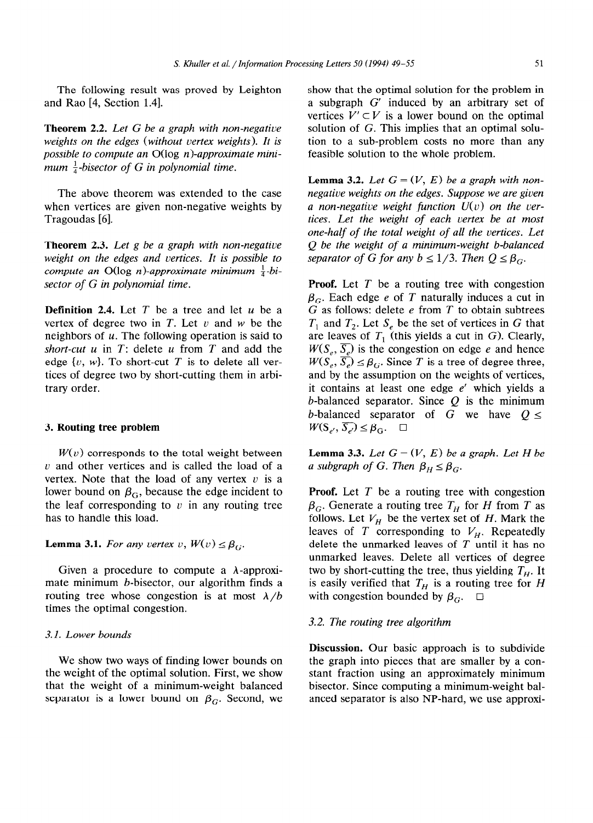The following result was proved by Leighton and Rao [4, Section 1.41.

**Theorem 2.2.** *Let G be a graph with non-negative weights on the edges (without vertex weights). It is possible to compute an* O(log *n)-approximate minimum*  $\frac{1}{4}$ -bisector of G in polynomial time.

The above theorem was extended to the case when vertices are given non-negative weights by Tragoudas [6].

**Theorem 2.3.** *Let g be a graph with non-negative weight on the edges and vertices. It is possible to compute an*  $O(\log n)$ -*approximate minimum*  $\frac{1}{4}$ -bi*sector of G in polynomial time.* 

**Definition 2.4.** Let *T* be a tree and let u be a vertex of degree two in  $T$ . Let  $\nu$  and  $w$  be the neighbors of  $u$ . The following operation is said to *short-cut u* in *T:* delete u from *T* and add the edge  $\{v, w\}$ . To short-cut *T* is to delete all vertices of degree two by short-cutting them in arbitrary order.

#### 3. **Routing tree problem**

 $W(v)$  corresponds to the total weight between  $u$  and other vertices and is called the load of a vertex. Note that the load of any vertex  $v$  is a lower bound on  $\beta_G$ , because the edge incident to the leaf corresponding to  $v$  in any routing tree has to handle this load.

#### **Lemma 3.1.** *For any vertex v,*  $W(v) \leq \beta_G$ .

Given a procedure to compute a  $\lambda$ -approximate minimum b-bisector, our algorithm finds a routing tree whose congestion is at most  $\lambda/b$ times the optimal congestion.

#### 3.1. *Lower bounds*

*We* show two ways of finding lower bounds on the weight of the optimal solution. First, we show that the weight of a minimum-weight balanced separator is a lower bound on  $\beta_G$ . Second, we show that the optimal solution for the problem in a subgraph G' induced by an arbitrary set of vertices  $V' \subset V$  is a lower bound on the optimal solution of G. This implies that an optimal solution to a sub-problem costs no more than any feasible solution to the whole problem.

**Lemma 3.2.** Let  $G = (V, E)$  be a graph with non*negative weights on the edges. Suppose we are given a non-negative weight function U(v) on the vertices. Let the weight of each vertex be at most one-half of the total weight of all the vertices. Let Q be the weight of a minimum-weight b-balanced separator of G for any*  $b \leq 1/3$ *. Then*  $Q \leq \beta_G$ *.* 

**Proof.** Let *T* be a routing tree with congestion  $\beta_G$ . Each edge *e* of *T* naturally induces a cut in G as follows: delete e from *T* to obtain subtrees  $T_1$  and  $T_2$ . Let  $S_e$  be the set of vertices in G that are leaves of  $T_1$  (this yields a cut in G). Clearly,  $W(S_{\epsilon}, \overline{S_{\epsilon}})$  is the congestion on edge e and hence  $W(S_e, \overline{S_e}) \leq \beta_G$ . Since *T* is a tree of degree three, and by the assumption on the weights of vertices, it contains at least one edge  $e'$  which yields a b-balanced separator. Since  $Q$  is the minimum b-balanced separator of G we have  $0 \leq$  $W(S_{e'}, \overline{S_{e'}}) \leq \beta_G$ .  $\Box$ 

**Lemma 3.3.** *Let*  $G = (V, E)$  *be a graph. Let*  $H$  *be a subgraph of G. Then*  $\beta_H \leq \beta_G$ .

**Proof.** Let *T* be a routing tree with congestion  $\beta_G$ . Generate a routing tree  $T_H$  for *H* from *T* as follows. Let  $V_H$  be the vertex set of H. Mark the leaves of  $T$  corresponding to  $V_H$ . Repeatedly delete the unmarked leaves of *T* until it has no unmarked leaves. Delete all vertices of degree two by short-cutting the tree, thus yielding  $T_H$ . It is easily verified that  $T_H$  is a routing tree for *H* with congestion bounded by  $\beta_{C}$ .  $\Box$ 

### 3.2. *The routing tree algorithm*

**Discussion.** Our basic approach is to subdivide the graph into pieces that are smaller by a constant fraction using an approximately minimum bisector. Since computing a minimum-weight balanced separator is also NP-hard, we use approxi-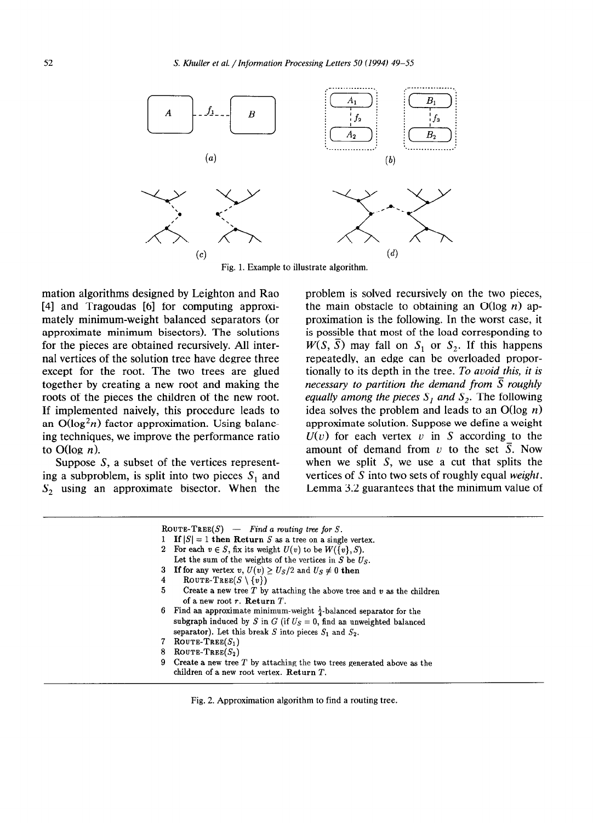

Fig. 1. Example to illustrate algorithm.

mation algorithms designed by Leighton and Rao [4] and Tragoudas [6] for computing approximately minimum-weight balanced separators (or approximate minimum bisectors). The solutions for the pieces are obtained recursively. All internal vertices of the solution tree have degree three except for the root. The two trees are glued together by creating a new root and making the roots of the pieces the children of the new root. If implemented naively, this procedure leads to an  $O(\log^2 n)$  factor approximation. Using balancing techniques, we improve the performance ratio to  $O(\log n)$ .

Suppose S, a subset of the vertices representing a subproblem, is split into two pieces  $S_1$  and  $S<sub>2</sub>$  using an approximate bisector. When the problem is solved recursively on the two pieces, the main obstacle to obtaining an  $O(\log n)$  approximation is the following. In the worst case, it is possible that most of the load corresponding to  $W(S, \overline{S})$  may fall on  $S_1$  or  $S_2$ . If this happens repeatedly, an edge can be overloaded proportionally to its depth in the tree. *To avoid this, it is necessary to partition the demand from*  $\overline{S}$  *roughly equally among the pieces*  $S_1$  *and*  $S_2$ . The following idea solves the problem and leads to an O(log *n)*  approximate solution. Suppose we define a weight  $U(v)$  for each vertex v in S according to the amount of demand from  $v$  to the set  $\overline{S}$ . Now when we split  $S$ , we use a cut that splits the vertices of S into two sets of roughly equal *weight.*  Lemma 3.2 guarantees that the minimum value of

|                | ROUTE-TREE(S) - Find a routing tree for S.                                   |
|----------------|------------------------------------------------------------------------------|
|                | 1 If $ S  = 1$ then Return S as a tree on a single vertex.                   |
| $\overline{2}$ | For each $v \in S$ , fix its weight $U(v)$ to be $W({v}, S)$ .               |
|                | Let the sum of the weights of the vertices in $S$ be $U_S$ .                 |
| 3              | <b>If for any vertex v</b> , $U(v) \ge U_s/2$ and $U_s \ne 0$ then           |
| 4              | ROUTE-TREE( $S \setminus \{v\}$ )                                            |
| 5              | Create a new tree $T$ by attaching the above tree and $v$ as the children    |
|                | of a new root $r$ . Return $T$ .                                             |
| 6              | Find an approximate minimum-weight $\frac{1}{4}$ -balanced separator for the |
|                | subgraph induced by S in G (if $U_S = 0$ , find an unweighted balanced       |
|                | separator). Let this break S into pieces $S_1$ and $S_2$ .                   |
|                | ROUTE-TREE $(S_1)$                                                           |
| 8              | ROUTE-TREE $(S_2)$                                                           |
| 9              | Create a new tree $T$ by attaching the two trees generated above as the      |
|                | children of a new root vertex. Return $T$ .                                  |

Fig. 2. Approximation algorithm to find a routing tree.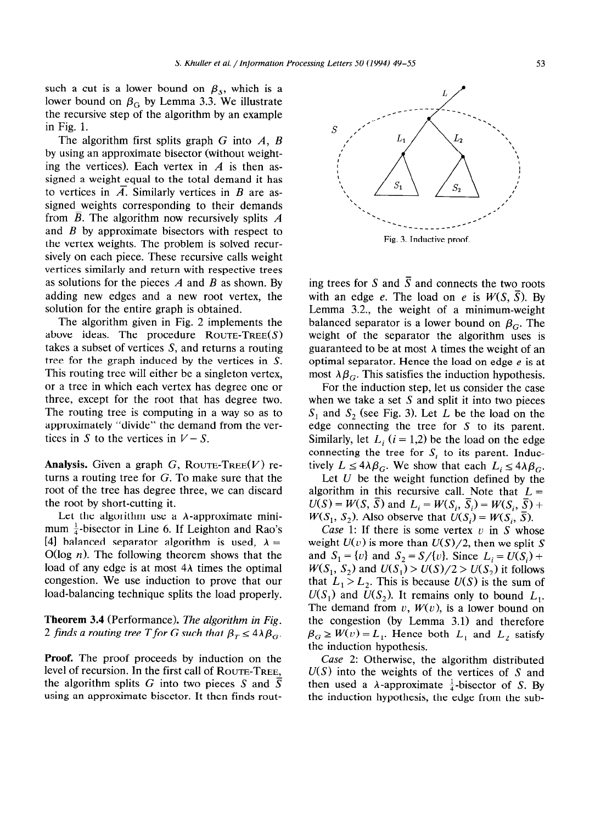such a cut is a lower bound on  $\beta_s$ , which is a lower bound on  $\beta_G$  by Lemma 3.3. We illustrate the recursive step of the algorithm by an example in Fig. 1.

The algorithm first splits graph G into *A, B*  by using an approximate bisector (without weighting the vertices). Each vertex in *A* is then assigned a weight equal to the total demand it has to vertices in  $\overline{A}$ . Similarly vertices in *B* are assigned weights corresponding to their demands from  $\overline{B}$ . The algorithm now recursively splits  $\overline{A}$ and *B* by approximate bisectors with respect to the vertex weights. The problem is solved recursively on each piece. These recursive calls weight vertices similarly and return with respective trees as solutions for the pieces *A* and *B* as shown. By adding new edges and a new root vertex, the solution for the entire graph is obtained.

The algorithm given in Fig. 2 implements the above ideas. The procedure  $\text{ROUTE-Tree}(S)$ takes a subset of vertices S, and returns a routing tree for the graph induced by the vertices in S. This routing tree will either be a singleton vertex, or a tree in which each vertex has degree one or three, except for the root that has degree two. The routing tree is computing in a way so as to approximately "divide" the demand from the vertices in S to the vertices in  $V-S$ .

Analysis. Given a graph  $G$ , ROUTE-TREE $(V)$  returns a routing tree for G. To make sure that the root of the tree has degree three, we can discard the root by short-cutting it.

Let the algorithm use a  $\lambda$ -approximate minimum  $\frac{1}{4}$ -bisector in Line 6. If Leighton and Rao's [4] balanced separator algorithm is used,  $\lambda =$  $O(\log n)$ . The following theorem shows that the load of any edge is at most  $4\lambda$  times the optimal congestion. We use induction to prove that our load-balancing technique splits the load properly.

## **Theorem 3.4** (Performance). *The algorithm in Fig. 2 finds a routing tree T for G such that*  $\beta_T \leq 4\lambda \beta_G$ .

**Proof.** The proof proceeds by induction on the level of recursion. In the first call of **ROUTE-TREE,**  the algorithm splits G into two pieces S and  $\overline{S}$ using an approximate bisector. It then finds routing trees for S and  $\overline{S}$  and connects the two roots with an edge e. The load on e is  $W(S, \overline{S})$ . By Lemma 3.2., the weight of a minimum-weight balanced separator is a lower bound on  $\beta_G$ . The weight of the separator the algorithm uses is guaranteed to be at most  $\lambda$  times the weight of an optimal separator. Hence the load on edge  $e$  is at most  $\lambda \beta_G$ . This satisfies the induction hypothesis.

For the induction step, let us consider the case when we take a set  $S$  and split it into two pieces  $S_1$  and  $S_2$  (see Fig. 3). Let L be the load on the edge connecting the tree for S to its parent. Similarly, let  $L_i$  ( $i = 1,2$ ) be the load on the edge connecting the tree for  $S_i$  to its parent. Inductively  $L \leq 4\lambda \beta_G$ . We show that each  $L_i \leq 4\lambda \beta_G$ .

Let  $U$  be the weight function defined by the algorithm in this recursive call. Note that  $L =$  $U(S) = W(S, S)$  and  $L_i = W(S_i, S_i) = W(S_i, S) + V(S_i, S)$  $W(S_1, S_2)$ . Also observe that  $U(S_i) = W(S_i, S)$ .

*Case* 1: If there is some vertex  $v$  in S whose weight  $U(v)$  is more than  $U(S)/2$ , then we split S and  $S_1 = \{v\}$  and  $S_2 = S/\{v\}$ . Since  $L_i = U(S_i)$  +  $W(S_1, S_2)$  and  $U(S_1) > U(S)/2 > U(S_2)$  it follows that  $L_1 > L_2$ . This is because  $U(S)$  is the sum of  $U(S_1)$  and  $U(S_2)$ . It remains only to bound  $L_1$ . The demand from  $v$ ,  $W(v)$ , is a lower bound on the congestion (by Lemma 3.1) and therefore  $\beta_G \geq W(v) = L_1$ . Hence both  $L_1$  and  $L_2$  satisfy the induction hypothesis.

*Case* **2:** Otherwise, the algorithm distributed  $U(S)$  into the weights of the vertices of S and then used a  $\lambda$ -approximate  $\frac{1}{4}$ -bisector of S. By the induction hypothesis, the edge from the sub-

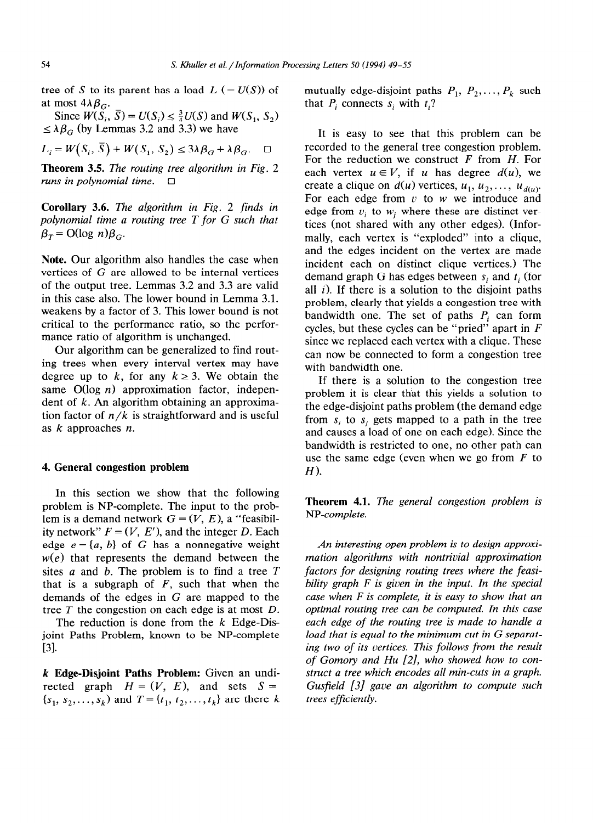tree of S to its parent has a load  $L$  (=  $U(S)$ ) of mutually edge-disjoint paths  $P_1, P_2, \ldots, P_k$  such at most  $4\lambda\beta_G$ . that  $P_i$  connects  $s_i$  with  $t_i$ ?

Since  $W(S_i, S) = U(S_i) \leq \frac{3}{4}U(S)$  and  $W(S_1, S_2)$  $\leq \lambda \beta_G$  (by Lemmas 3.2 and 3.3) we have

$$
L_i = W(S_i, \overline{S}) + W(S_1, S_2) \le 3\lambda \beta_G + \lambda \beta_G. \quad \Box
$$

**Theorem 3.5.** *The routing tree algorithm in Fig. 2 runs in polynomial time.*  $\Box$ 

**Corollary 3.6.** *The algorithm in Fig. 2 finds in polynomial time a routing tree T for G such that*   $\beta_T = O(\log n) \beta_G$ .

**Note.** Our algorithm also handles the case when vertices of  $G$  are allowed to be internal vertices of the output tree. Lemmas 3.2 and 3.3 are valid in this case also. The lower bound in Lemma 3.1. weakens by a factor of 3. This lower bound is not critical to the performance ratio, so the performance ratio of algorithm is unchanged.

Our algorithm can be generalized to find routing trees when every interval vertex may have degree up to k, for any  $k \geq 3$ . We obtain the same  $O(\log n)$  approximation factor, independent of *k. An* algorithm obtaining an approximation factor of  $n/k$  is straightforward and is useful as *k* approaches *n.* 

#### *4.* **General congestion problem**

In this section we show that the following problem is NP-complete. The input to the problem is a demand network  $G = (V, E)$ , a "feasibility network"  $F = (V, E')$ , and the integer *D*. Each edge  $e = \{a, b\}$  of G has a nonnegative weight  $w(e)$  that represents the demand between the sites *a* and b. The problem is to find a tree *T*  that is a subgraph of *F,* such that when the demands of the edges in  $G$  are mapped to the tree *T* the congestion on each edge is at most *D.* 

The reduction is done from the *k* Edge-Disjoint Paths Problem, known to be NP-complete *[31.* 

*k* **Edge-Disjoint Paths Problem:** Given an undirected graph  $H = (V, E)$ , and sets  $S =$  $\{s_1, s_2, \ldots, s_k\}$  and  $T = \{t_1, t_2, \ldots, t_k\}$  are there *k* 

It is easy to see that this problem can be recorded to the general tree congestion problem. For the reduction we construct *F* from *H.* For each vertex  $u \in V$ , if u has degree  $d(u)$ , we create a clique on  $d(u)$  vertices,  $u_1, u_2, \ldots, u_{d(u)}$ . For each edge from  $v$  to  $w$  we introduce and edge from  $v_i$  to  $w_i$  where these are distinct vertices (not shared with any other edges). (Informally, each vertex is "exploded" into a clique, and the edges incident on the vertex are made incident each on distinct clique vertices.) The demand graph G has edges between  $s_i$  and  $t_i$  (for all *i>.* If there is a solution to the disjoint paths problem, clearly that yields a congestion tree with bandwidth one. The set of paths *Pi* can form cycles, but these cycles can be "pried" apart in *F*  since we replaced each vertex with a clique. These can now be connected to form a congestion tree with bandwidth one.

If there is a solution to the congestion tree problem it is clear that this yields a solution to the edge-disjoint paths problem (the demand edge from  $s_i$  to  $s_j$  gets mapped to a path in the tree and causes a load of one on each edge). Since the bandwidth is restricted to one, no other path can use the same edge (even when we go from *F* to  $H$ ).

**Theorem 4.1.** *The general congestion problem is NP-complete.* 

*An interesting open problem is to design approximation algorithms with nontrivial approximation factors for designing routing trees where the feasibility graph F is given in the input. In the special case when F is complete, it is easy to show that an optimal routing tree can be computed. In this case each edge of the routing tree is made to handle a load that is equal to the minimum cut in G separating two of its vertices. This follows from the result of Gomory and Hu [2], who showed how to construct a tree which encodes all min-cuts in a graph. Gusfield [3] gave an algorithm to compute such trees efficiently.*